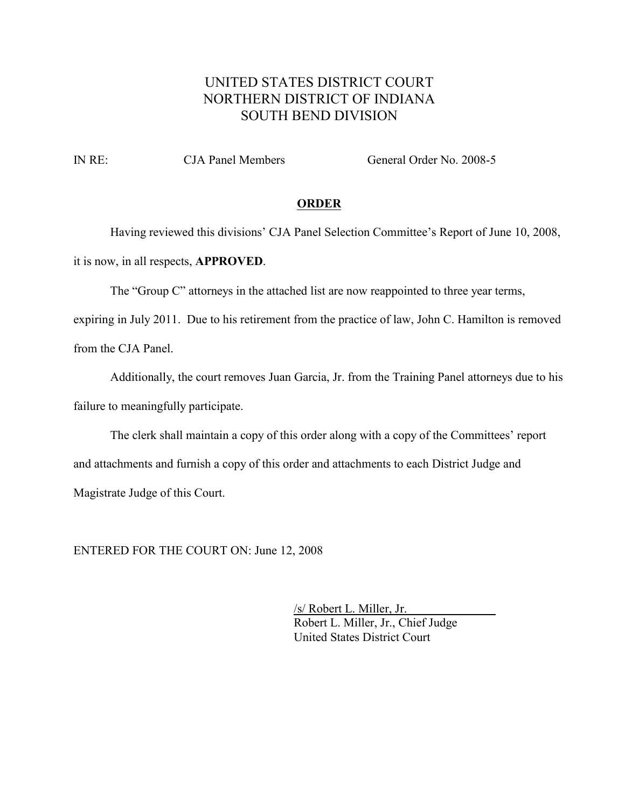# UNITED STATES DISTRICT COURT NORTHERN DISTRICT OF INDIANA SOUTH BEND DIVISION

IN RE: CJA Panel Members General Order No. 2008-5

#### **ORDER**

Having reviewed this divisions' CJA Panel Selection Committee's Report of June 10, 2008, it is now, in all respects, **APPROVED**.

The "Group C" attorneys in the attached list are now reappointed to three year terms,

expiring in July 2011. Due to his retirement from the practice of law, John C. Hamilton is removed from the CJA Panel.

Additionally, the court removes Juan Garcia, Jr. from the Training Panel attorneys due to his failure to meaningfully participate.

The clerk shall maintain a copy of this order along with a copy of the Committees' report and attachments and furnish a copy of this order and attachments to each District Judge and Magistrate Judge of this Court.

ENTERED FOR THE COURT ON: June 12, 2008

/s/ Robert L. Miller, Jr. Robert L. Miller, Jr., Chief Judge United States District Court